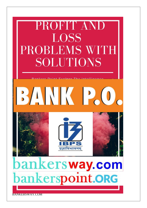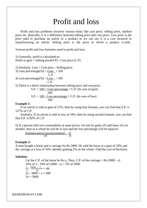# Profit and loss

Profit and loss problems involves various terms like cost price, selling price, marked price etc. Basically, it is a difference between selling price and cost price. Cost price is the price paid to purchase an article or a product or we can say it is a cost incurred in manufacturing an article. Selling price is the price at which a product is sold.

Various profit and loss formulas used in profit and loss:

1) Generally, profit is calculated as: Profit or gain = Selling price $(S.P)$  - Cost price  $(C.P)$ 

2) Similarly, Loss = Cost price - Selling price

3) Gain percentage(%) = Gain  $\times$  100 C.P.

4) Loss percentage(%) =  $\text{Loss} \times 100$ C.P.

5) There is a direct relationship between selling price and cost price:

S.P. = 
$$
\frac{100 + \text{Gain percentage}}{100} \times \text{C.P.}
$$
 (In case of gain)  
S.P. =  $\frac{100 - \text{Loss percentage}}{100} \times \text{C.P.}$  (In case of loss)

## **Example 1:**

If an article is sold at gain of 27%, then by using first formula, you can find that S.P. is 127% of C.P.

Similarly, If an article is sold at loss of 18%, then by using second formula, you can find that S.P. is 82% of C.P.

6) If a person sells two commodities at same prices. On one he gains  $x\%$  and loses  $x\%$  on another, then as a whole he will be in loss and the loss percentage will be equal to:

$$
\frac{(Common gain or loss percentage)^2}{100} = \frac{x^2}{10}
$$

### **Example 2:**

A man bought a horse and a carriage for Rs.3000. He sold the horse at a gain of 20% and the carriage at a loss of 10%, thereby gaining 2% on the whole. Find the cost of the horse.

### **Solution:**

Let the C.P. of the horse be Rs.x, Then, C.P. of the carriage  $=$  Rs.(3000 - x) 20% of x - 10% of  $(3000 - x) = 2%$  of 3000  $\frac{x}{5}$  3000 −  $\frac{x}{5}$   $\frac{3000 - x}{10} = 60$  $2x - 3000 + x = 600$  $3x = 3600$ 

BANKERSWAY.COM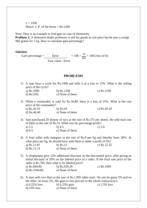$x = 1200$ Hence, C.P. of the horse  $=$  Rs.1200

Note: Here is an example to find gain in case of dishonesty.

**Problem 1:** A dishonest dealer professes to sell his goods at cost price but he uses a weigh 960 grams for 1 kg. How to calculate gain percentage?

**Solution:**

Gain percentage = Error  $\times 100 = \frac{40}{960} \times 100$  (Ans in %) True value - Error

### **PROBLEMS**

- 1) A man buys a cycle for Rs.1400 and sells it at a loss of 15%. What is the selling price of the cycle? a) Rs.1090 b) Rs.1160 c) Rs.1190 d) Rs1202 e) None of these 2) When a commodity is sold for Rs.34.80. there is a loss of 25%. What is the cost
- price of the commodity?

| a) Rs.26.10 | b) $Rs.43$       | c) $Rs.43.20$ |
|-------------|------------------|---------------|
| d) Rs.46.40 | e) None of these |               |

- 3) Sam purchased 20 dozens of toys at the rate of Rs.375 per dozen. He sold each one of them at the rate of Rs.33. What was his percentage profit? a) 3.5 b) 4.5 c) 5.6 d) 6.5 e) None of these
- 4) A fruit seller sells mangoes at the rate of Rs.9 per kg and thereby loses 20%. At what price per kg, he should have sold them to make a profit of 5%? a) Rs.11.81 b) Rs.12 c) Rs.12.25
	- d) Rs.12.31 e) None of these
- 5) A shopkeeper give 12% additional discount on the discounted price, after giving an initial discount of 20% on the labeled price of a radio. If the final sale price of the radio is Rs.704, then what is its labeled price? a) Rs.844.80 b) Rs.929.28 c) Rs.1000 d) Rs.1044.80 e) None of these

6) A man sells two flats at the rate of Rs.1.995 lakhs each. On one he gains 5% and on the other, he loses 5%. His gain or loss percent in the whole transaction is a) 0.25% loss b) 0.25% gain c) 2.5% loss d) 25% loss e) None of these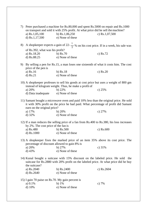| 7) |                                                                                                                                  | Peter purchased a machine for Rs.80,000 and spent Rs.5000 on repair and Rs.1000<br>on transport and sold it with 25% profit. At what price did he sell the machine?        |                  |  |
|----|----------------------------------------------------------------------------------------------------------------------------------|----------------------------------------------------------------------------------------------------------------------------------------------------------------------------|------------------|--|
|    | a) $Rs.1,05,100$                                                                                                                 | b) $Rs.1,06,250$                                                                                                                                                           | c) $Rs.1,07,500$ |  |
|    | d) $Rs.1,17,500$                                                                                                                 | e) None of these                                                                                                                                                           |                  |  |
|    |                                                                                                                                  | 8) A shopkeeper expects a gain of 22- $\frac{1}{2}$ % on his cost price. If in a week, his sale was                                                                        |                  |  |
|    | of Rs.392, what was his profit?                                                                                                  |                                                                                                                                                                            |                  |  |
|    | a) Rs.18.20                                                                                                                      | b) $Rs.70$                                                                                                                                                                 | c) $Rs.72$       |  |
|    | d) Rs.88.25                                                                                                                      | e) None of these                                                                                                                                                           |                  |  |
|    | price of the pen is                                                                                                              | 9) By selling a pen for Rs.15, a man loses one sixteenth of what it costs him. The cost                                                                                    |                  |  |
|    | a) Rs.16                                                                                                                         | b) $Rs.18$                                                                                                                                                                 | c) $Rs.20$       |  |
|    | $d)$ Rs.21                                                                                                                       | e) None of these                                                                                                                                                           |                  |  |
|    |                                                                                                                                  | 10) A shopkeeper professes to sell his goods at cost price but uses a weight of 800 gm<br>instead of kilogram weight. Thus, he make a profit of                            |                  |  |
|    | a) 20%                                                                                                                           | b) 22%                                                                                                                                                                     | c) $25%$         |  |
|    | d) Data inadequate                                                                                                               | e) None of these                                                                                                                                                           |                  |  |
|    |                                                                                                                                  |                                                                                                                                                                            |                  |  |
|    | earn on the original price?                                                                                                      | 11) Samant bought a microwave oven and paid 10% less than the original price. He sold<br>it with 30% profit on the price he had paid. What percentage of profit did Samant |                  |  |
|    | a) 17%                                                                                                                           | b) 20%                                                                                                                                                                     | c) $27%$         |  |
|    | $d)$ 32%                                                                                                                         | e) None of these                                                                                                                                                           |                  |  |
|    | 12) If a man reduces the selling price of a fan from Rs.400 to Rs.380, his loss increases<br>by 2%. The cost price of the fan is |                                                                                                                                                                            |                  |  |
|    | a) Rs.480                                                                                                                        | b) $Rs.500$                                                                                                                                                                | c) $Rs.600$      |  |
|    | d) Rs.1000                                                                                                                       | e) None of these                                                                                                                                                           |                  |  |
|    | percentage of discount allowed to gain 8% is                                                                                     | 13) A shopkeeper fixes the marked price of an item 35% above its cost price. The                                                                                           |                  |  |
|    | a) 20%                                                                                                                           | b) 27%                                                                                                                                                                     | c) $31%$         |  |
|    | $d)$ 43%                                                                                                                         | e) None of these                                                                                                                                                           |                  |  |
|    | the suitcase?                                                                                                                    | 14) Kunal bought a suitcase with 15% discount on the labeled price. He sold the<br>suitcase for Rs.2880 with 20% profit on the labeled price. At what price did he buy     |                  |  |
|    | a) Rs.2040                                                                                                                       | b) Rs.2400                                                                                                                                                                 | c) Rs.2604       |  |
|    | d) Rs.2640                                                                                                                       | e) None of these                                                                                                                                                           |                  |  |
|    | 15) I gain 70 paise on Rs.70. My gain percent is                                                                                 |                                                                                                                                                                            |                  |  |
|    | a) $0.1\%$                                                                                                                       | b) $1\%$                                                                                                                                                                   | c) $7%$          |  |
|    | $d)$ 10%                                                                                                                         | e) None of these                                                                                                                                                           |                  |  |
|    |                                                                                                                                  |                                                                                                                                                                            |                  |  |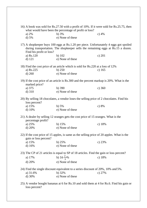|                                                                                                                      | 16) A book was sold for Rs.27.50 with a profit of 10%. If it were sold for Rs.25.75, then<br>what would have been the percentage of profit or loss?                       |          |  |
|----------------------------------------------------------------------------------------------------------------------|---------------------------------------------------------------------------------------------------------------------------------------------------------------------------|----------|--|
| a) $2\%$                                                                                                             | $b)$ 3%                                                                                                                                                                   | c) $4%$  |  |
| d) 5%                                                                                                                | e) None of these                                                                                                                                                          |          |  |
| Find his profit or loss?                                                                                             | 17) A shopkeeper buys 100 eggs at Rs.1.20 per piece. Unfortunately 4 eggs got spoiled<br>during transportation. The shopkeeper sells the remaining eggs at Rs.15 a dozen. |          |  |
| a) Rs.120                                                                                                            | $b)$ 102                                                                                                                                                                  | c) 201   |  |
| $d)$ 121                                                                                                             | e) None of these                                                                                                                                                          |          |  |
|                                                                                                                      | 18) Find the cost price of an article which is sold for Rs.220 at a loss of 12%                                                                                           |          |  |
| a) Rs.225                                                                                                            | $b)$ 250                                                                                                                                                                  | c) $165$ |  |
| d) 260                                                                                                               | e) None of these                                                                                                                                                          |          |  |
| marked price?                                                                                                        | 19) If the cost price of an article is Rs.300 and the percent markup is 20%. What is the                                                                                  |          |  |
| a) 375                                                                                                               | $b)$ 390                                                                                                                                                                  | c) 360   |  |
| $d)$ 310                                                                                                             | e) None of these                                                                                                                                                          |          |  |
| 20) By selling 18 chocolates, a vendor loses the selling price of 2 chocolates. Find his<br>loss percent?            |                                                                                                                                                                           |          |  |
| a) 15%                                                                                                               | b) $5%$                                                                                                                                                                   | c) 8%    |  |
| $d)$ 10%                                                                                                             | e) None of these                                                                                                                                                          |          |  |
| percentage profit?                                                                                                   | 21) A dealer by selling 12 oranges gets the cost price of 15 oranges. What is the                                                                                         |          |  |
| a) $25%$                                                                                                             | b) $15%$                                                                                                                                                                  | c) $18%$ |  |
| d) 20%                                                                                                               | e) None of these                                                                                                                                                          |          |  |
| gain or loss percent?                                                                                                | 22) If the cost price of 15 apples, is same as the selling price of 20 apples. What is the                                                                                |          |  |
| a) 15%                                                                                                               | b) $25%$                                                                                                                                                                  | c) $23%$ |  |
| d) 16%                                                                                                               | e) None of these                                                                                                                                                          |          |  |
|                                                                                                                      | 23) The CP of 21 articles is equal to SP of 18 articles. Find the gain or loss percent?                                                                                   |          |  |
| a) 17%                                                                                                               | b) $16\frac{2}{3}\%$                                                                                                                                                      | c) $18%$ |  |
| d) 20%                                                                                                               | e) None of these                                                                                                                                                          |          |  |
| 24) Find the single discount equivalent to a series discount of 20%, 10% and 5%.<br>b) $32%$<br>a) 31.6%<br>c) $27%$ |                                                                                                                                                                           |          |  |
| d) 30%                                                                                                               | e) None of these                                                                                                                                                          |          |  |
| loss percent?                                                                                                        | 25) A vendor bought bananas at 6 for Rs.10 and sold them at 4 for Rs.6. Find his gain or                                                                                  |          |  |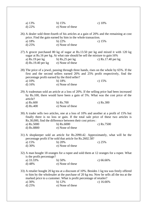| a) 13%   | b) $15%$         | c) $10\%$ |
|----------|------------------|-----------|
| d) $22%$ | e) None of these |           |

26) A dealer sold three-fourth of his articles at a gain of 20% and the remaining at cost price. Find the gain earned by him in the whole transaction.

a) 18% b) 22% c) 15% d) 25% e) None of these

27) A grocer purchased 80 kg of sugar at Rs.13.50 per kg and mixed it with 120 kg sugar at Rs.16 per kg. At what rate should he sell the mixture to gain 16% a) Rs.19 per kg b) Rs,25 per kg c) Rs.17.40 per kg d)  $\text{Rs.19.40}$  per kg e) None of these

28) The price of a jewel, passing through three hands, rises on the whole by 65%. If the first and the second sellers earned 20% and 25% profit respectively, find the percentage profit earned by the third seller? a)  $10\%$  b)  $18\%$  c)  $15\%$ 

d) 16% e) None of these

29) A tradesman sold an article at a loss of 20%. If the selling price had been increased by Rs.100, there would have been a gain of 5%. What was the cost price of the article?

a) Rs.600 b) Rs.700 c) Rs.300 d) Rs.400 e) None of these

30) A trader sells two articles, one at a loss of 10% and another at a profit of 15% but finally there is no loss or gain. If the total sale price of these two articles is Rs.30,000, find the difference between their cost prices: a) Rs.5000 b) Rs.6000 c) Rs.7500

- d) Rs.8800 e) None of these
- 31) A shopkeeper sold an article for Rs.2090.42. Approximately, what will be the percentage profit if he sold that article for Rs.2602.58?
	- a) 15% b) 20% c) 25% d) 30% e) None of these
- 32) A man bought 18 oranges for a rupee and sold them at 12 oranges for a rupee. What is the profit percentage?
	- a) 33.33% b) 50% c) 66.66% d) 48% e) None of these

33) A retailer bought 20 kg tea at a discount of 10%. Besides 1 kg tea was freely offered to him by the wholesaler at the purchase of 20 kg tea. Now he sells all the tea at the marked price to a customer. What is profit percentage of retailer? a) 30% b) 12% c) 16.66%

d) 25% e) None of these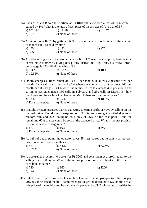- 34) Each of A and B sold their article at Rs.1818 but A incurred a loss of 10% while B gained by 1%. What is the ratio of cost price of the articles of A to that of B? a) 101 : 90 b) 85 : 89 c) 81 : 75 d)  $75 : 81$  e) None of these
- 35) Abhinav saves Rs.25 by getting 6.66% discount on a textbook. What is the amount of money (in Rs.) paid by him? a) 450 b) 350 c) 225
	- d) 375 e) None of these
- 36) A trader sells goods to a customer at a profit of k% over the cost price, besides it he cheats his customer by giving 880 g only instead of 1 kg. Thus, his overall profit percentage is 25%. Find the value of k?

| a) $8.33\%$ | b) $8.25\%$      | c) $10\%$ |
|-------------|------------------|-----------|
| d) $12.52%$ | e) None of these |           |

- 37) DSNL charges a fixed rental of Rs.350 per month. It allows 200 calls free per month. Each call is charged at Rs.1.4 when the number of calls exceeds 200 per month and it charges Rs.1.6 when the number of calls exceeds 400 per month and so on. A customer made 150 calls in February and 250 calls in March. By how much percent the each call is cheaper in March than each call in February? a) 28% b) 25% c) 18.5% d) Data inadequate e) None of these
- 38) Pratibha printers prepares diaries expecting to earn a profit of 40% by selling on the marked price. But during transportation 8% diaries were got spoiled due to at random rain and 32% could be sold only at 75% of the cost price. Thus the remaining 60% diaries could be sold at the expected price. What is the net profit or loss in the whole consignment?

| a) 6%              | b) $10\%$        | c) $8\%$ |
|--------------------|------------------|----------|
| d) Data inadequate | e) None of these |          |

39) At kul-kul petrol pump the operator gives 5% less petrol but he sells it at the cost price. What is his profit in this way? c)  $5.26%$ 

| a) $5\%$   | $D.5.6\%$        |
|------------|------------------|
| d) $4.78%$ | e) None of these |

40) A bookseller procures 40 books for Rs.3200 and sells them at a profit equal to the selling price of 8 books. What is the selling price of one dozen books, if the price of each book is same? c) 1200

| a) 720  | b)960            |
|---------|------------------|
| d) 1440 | e) None of these |

41) Rahul went to purchase a Nokia mobile handset, the shopkeeper told him to pay 20% tax if he asked the bill. Rahul manages to get the discount of 5% on the actual sale price of the mobile and he paid the shopkeeper Rs.3325 without tax. Besides he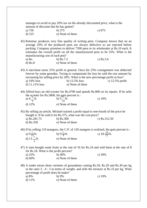|                                              | manages to avoid to pay 20% tax on the already discounted price, what is the                   |                                                                                                                                                                                                                                                                                                                                                           |
|----------------------------------------------|------------------------------------------------------------------------------------------------|-----------------------------------------------------------------------------------------------------------------------------------------------------------------------------------------------------------------------------------------------------------------------------------------------------------------------------------------------------------|
| amount of discount that he has gotten?       |                                                                                                |                                                                                                                                                                                                                                                                                                                                                           |
| a) 750                                       | b) 375                                                                                         | c) 875                                                                                                                                                                                                                                                                                                                                                    |
|                                              | e) None of these                                                                               |                                                                                                                                                                                                                                                                                                                                                           |
| $d)$ 525                                     |                                                                                                |                                                                                                                                                                                                                                                                                                                                                           |
| manufacturing cost of each pen?<br>$a)$ Rs.  | b) $Rs.7.2$                                                                                    | 42) Rotomac produces very fine quality of writing pens. Company knows that on an<br>average 10% of the produced pens are always defective so are rejected before<br>packing. Company promises to deliver 7200 pens to its wholesaler at Rs.10 each. It<br>estimates the overall profit on all the manufactured pens to be 25%. What is the<br>c) $Rs.5.6$ |
| $d)$ Rs. $8$                                 | e) None of these                                                                               |                                                                                                                                                                                                                                                                                                                                                           |
| a) 10% loss<br>d) 11.11% loss                | b) $12.5\%$ loss<br>e) None of these                                                           | 43) A merchant earns 25% profit in general. Once his 25% consignment was abducted<br>forever by some goondas. Trying to compensate his loss he sold the rest amount by<br>increasing his selling price by 20%. What is the new percentage profit or loss?<br>c) $12.5\%$ profit                                                                           |
|                                              |                                                                                                |                                                                                                                                                                                                                                                                                                                                                           |
|                                              |                                                                                                | 44) Alfred buys an old scooter for Rs.4700 and spends Rs.800 on its repairs. If he sells                                                                                                                                                                                                                                                                  |
|                                              | the scooter for Rs.5800, his gain percent is :                                                 |                                                                                                                                                                                                                                                                                                                                                           |
| a) $4\frac{1}{7}\%$                          | b) $5\frac{9}{11}\%$                                                                           | c) $10%$                                                                                                                                                                                                                                                                                                                                                  |
| $d)$ 12%                                     | e) None of these                                                                               |                                                                                                                                                                                                                                                                                                                                                           |
| a) Rs.281.75<br>d) $Rs.350$                  | bought it. If he sold it for Rs.375, what was the cost price?<br>b) Rs.300<br>e) None of these | 45) By selling an article, Michael earned a profit equal to one-fourth of the price he<br>c) Rs.312.50                                                                                                                                                                                                                                                    |
|                                              |                                                                                                |                                                                                                                                                                                                                                                                                                                                                           |
|                                              |                                                                                                | 46) If by selling 110 mangoes, the C.P. of 120 mangoes is realized, the gain percent is :                                                                                                                                                                                                                                                                 |
|                                              | b) $9\frac{1}{9}\%$                                                                            | c) $10\frac{10}{11}\%$                                                                                                                                                                                                                                                                                                                                    |
| a) $9\frac{1}{11}\%$<br>d) $11\frac{1}{9}\%$ | e) None of these                                                                               |                                                                                                                                                                                                                                                                                                                                                           |
|                                              |                                                                                                |                                                                                                                                                                                                                                                                                                                                                           |
| for Rs.18. What is the profit percent?       |                                                                                                | 47) A man bought some fruits at the rate of 16 for Rs.24 and sold them at the rate of 8                                                                                                                                                                                                                                                                   |
| a) $25%$                                     | b) $40%$                                                                                       | c) $50%$                                                                                                                                                                                                                                                                                                                                                  |
| d) 60%                                       | e) None of these                                                                               |                                                                                                                                                                                                                                                                                                                                                           |
|                                              |                                                                                                |                                                                                                                                                                                                                                                                                                                                                           |
| percentage of profit does he make?           |                                                                                                | 48) A trader mixes three varieties of groundnuts costing Rs.50, Rs.20 and Rs.30 per kg<br>in the ratio $2:4:3$ in terms of weight, and sells the mixture at Rs.33 per kg. What                                                                                                                                                                            |
| a) 8%                                        | b) 9%                                                                                          | c) $10\%$                                                                                                                                                                                                                                                                                                                                                 |
| d) $11%$                                     | e) None of these                                                                               |                                                                                                                                                                                                                                                                                                                                                           |
|                                              |                                                                                                |                                                                                                                                                                                                                                                                                                                                                           |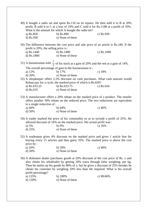| a) Rs.850<br>d) $Rs.950$                           | 49) A bought a radio set and spent Rs.110 on its repairs. He then sold it to B at 20%<br>profit, B sold it to C at a loss of 10% and C sold it for Rs.1188 at a profit of 10%.<br>What is the amount for which A bought the radio set?<br>b) Rs.890<br>e) None of these                                                                          | c) Rs.930   |
|----------------------------------------------------|--------------------------------------------------------------------------------------------------------------------------------------------------------------------------------------------------------------------------------------------------------------------------------------------------------------------------------------------------|-------------|
| profit is 20%, the selling price is:               | 50) The difference between the cost price and sale price of an article is Rs.240. If the                                                                                                                                                                                                                                                         |             |
| a) Rs.1440                                         | b) Rs.1400                                                                                                                                                                                                                                                                                                                                       | c) Rs.1600  |
| d) Rs.1800                                         | e) None of these                                                                                                                                                                                                                                                                                                                                 |             |
|                                                    | 51) A businessman sold $\frac{2}{3}$ of his stock at a gain of 20% and the rest at a gain of 14%.                                                                                                                                                                                                                                                |             |
|                                                    | The overall percentage of gain to the businessman is :                                                                                                                                                                                                                                                                                           |             |
| a) 12%                                             | $b)$ 17%                                                                                                                                                                                                                                                                                                                                         | c) $18%$    |
| d) $20%$                                           | e) None of these                                                                                                                                                                                                                                                                                                                                 |             |
|                                                    | 52) A shopkeeper offers 2.5% discount on cash purchases. What cash amount would<br>Rohan pay for a cycle, the marked price of which is Rs.650?                                                                                                                                                                                                   |             |
| a) Rs.633.25                                       | b) $Rs.633.75$                                                                                                                                                                                                                                                                                                                                   | c) $Rs.634$ |
| d) $Rs.635$                                        | e) None of these                                                                                                                                                                                                                                                                                                                                 |             |
| to a single reduction of :<br>a) $40%$<br>d) $50%$ | 53) A manufacturer offers a 20% rebate on the marked price of a product. The retailer<br>offers another 30% rebate on the reduced price. The two reductions are equivalent<br>$b)$ 44%<br>e) None of these                                                                                                                                       | c) $46%$    |
|                                                    | 54) A trader marked the price of his commodity so as to include a profit of 25%. He<br>allowed discount of 16% on the marked price. His actual profit was:                                                                                                                                                                                       |             |
| a) $5%$                                            | b) 9%                                                                                                                                                                                                                                                                                                                                            | c) $16%$    |
| d) $25%$                                           | e) None of these                                                                                                                                                                                                                                                                                                                                 |             |
| price by:<br>a) 20%                                | 55) A tradesman gives 4% discount on the marked price and gives 1 article free for<br>buying every 15 articles and thus gains 35%. The marked price is above the cost<br>b) $39%$                                                                                                                                                                | c) $40%$    |
| d) 50%                                             | e) None of these                                                                                                                                                                                                                                                                                                                                 |             |
|                                                    |                                                                                                                                                                                                                                                                                                                                                  |             |
| profit percentage?                                 | 56) A dishonest dealer purchases goods at 20% discount of the cost price of Rs. x and<br>also cheats his wholesaler by getting 20% extra through false weighing, per kg.<br>Then he marks up his goods by 80% of x, but he gives a discount of 25% besides he<br>cheats his customer by weighing 10% less than the required. What is his overall |             |
| a) 125%                                            | b) $100%$                                                                                                                                                                                                                                                                                                                                        | c) 98.66%   |
| d) $120%$                                          | e) None of these                                                                                                                                                                                                                                                                                                                                 |             |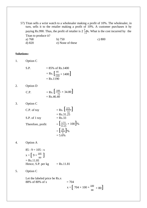57) Titan sells a wrist watch to a wholesaler making a profit of 10%. The wholesaler, in turn, sells it to the retailer making a profit of 10%. A customer purchases it by paying Rs.990. Thus, the profit of retailer is  $2\frac{3}{11}$ %. What is the cost incurred by the Titan to produce it? a) 768 b) 750 c) 800<br>d) 820 e) None of these e) None of these

## **Solutions:**

1. Option C

 $S.P.$ 

= 85% of Rs.1400  
= Rs. 
$$
\left[\frac{85}{100} \times 1400\right]
$$
  
= Rs.1190

2. Option D

C.P. 
$$
=
$$
 Rs.  $\left[\frac{100}{75} \times 34.80\right]$   
= Rs.46.40

3. Option C

C.P. of toy  
\n= Rs. 
$$
\left[\frac{375}{12}\right]
$$
  
\n= Rs.31.25  
\nS.P. of 1 toy  
\n= Rs.33  
\n=  $\left[\frac{1.75}{31.25} \times 100\right]$ %  
\n=  $\left[\frac{28}{5}\right]$ %  
\n= 5.6%

4. Option A

85 : 9 = 105 : x  
\n
$$
x = [9 \times \frac{105}{80}]
$$
  
\n= Rs.11.81  
\nHence, S.P. per kg = Rs.11.81

5. Option C

Let the labeled price be Rs.x 88% of 80% of x

$$
= 704
$$
  
x =  $\left[ 704 \times 100 \times \frac{100}{88} \times 80 \right]$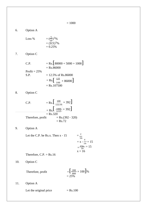6. Option A

Loss % 
$$
= \left(\frac{5}{10}\right)^2\%
$$

$$
= (0.5)^2\%
$$

$$
= 0.25\%
$$

7. Option C

C.P.   
\n= Rs. [80000 + 5000 + 1000]  
\n= Rs.86000  
\nS.P.   
\n= 12.5% of Rs.86000  
\n= Rs. [ 
$$
\frac{125}{100} \times 86000
$$
]  
\n= Rs.107500

8. Option C

C.P.   
\n= Rs. 
$$
\left[\frac{100}{122.50} \times 392\right]
$$
  
\n= Rs.  $\left[\frac{1000}{1225} \times 392\right]$   
\n= Rs. 320  
\nTherefore, profit = Rs. (392 - 320)  
\n= Rs. 72

9. Option A

Let the C.P. be Rs.x. Then  $x - 15$ x

$$
16\n= x - \frac{x}{16} = 15\n= \frac{15x}{16} = 15\nx = 16
$$

Therefore,  $C.P. = Rs.16$ 

10. Option C

Therefore, profit 
$$
= \left[\frac{200}{800} \times 100\right]\%
$$

$$
= 25\%
$$

11. Option A

Let the original price  $=$  Rs.100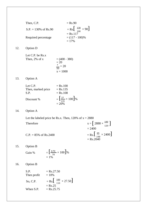|     | Then, C.P.                             |                           | $=$ Rs.90                                                                     |                                                                  |
|-----|----------------------------------------|---------------------------|-------------------------------------------------------------------------------|------------------------------------------------------------------|
|     | $S.P. = 130\% \text{ of Rs}.90$        |                           | $=$ Rs. $\left[\begin{array}{c} 130 \\ 100 \end{array} \times 90\right]$      |                                                                  |
|     | Required percentage                    |                           | $=$ Rs.117<br>$= (117 - 100)\%$<br>$= 17%$                                    |                                                                  |
| 12. | Option D                               |                           |                                                                               |                                                                  |
|     | Let C.P. be Rs.x<br>Then, 2% of x      |                           | $= (400 - 380)$<br>$\frac{20}{x}$<br>$\frac{x}{50}$ = 20<br>$x = 1000$        |                                                                  |
| 13. | <b>Option A</b>                        |                           |                                                                               |                                                                  |
|     | Let C.P.<br>Then, marked price<br>S.P. |                           | $=$ Rs.100<br>$=$ Rs.135<br>$=$ Rs.108                                        |                                                                  |
|     | Discount %                             |                           | $=\left[\frac{27}{135}\times100\right]\%$<br>$= 20%$                          |                                                                  |
| 14. | Option A                               |                           |                                                                               |                                                                  |
|     |                                        |                           | Let the labeled price be Rs.x. Then, 120% of $x = 2880$                       |                                                                  |
|     | Therefore                              |                           |                                                                               | $x = \left[2880 \times \frac{100}{120}\right]$<br>$= 2400$       |
|     | $C.P. = 85\%$ of Rs.2400               |                           |                                                                               | $=$ Rs. $\left[\frac{85}{100} \times 2400\right]$<br>$=$ Rs.2040 |
| 15. | Option B                               |                           |                                                                               |                                                                  |
|     | Gain %                                 | $= 1\%$                   | $=\left[\frac{0.70}{70}\times100\right]\%$                                    |                                                                  |
| 16. | Option B                               |                           |                                                                               |                                                                  |
|     | S.P.<br>Then profit                    | $=$ Rs.27.50<br>$= 10%$   |                                                                               |                                                                  |
|     | So, C.P.                               |                           | $=$ Rs. $\left[ \begin{array}{c} 100 \\ 110 \end{array} \right. \times 27.50$ |                                                                  |
|     | When S.P.                              | $=$ Rs.25<br>$=$ Rs.25.75 |                                                                               |                                                                  |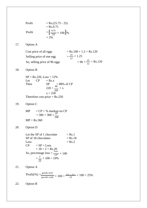Profit  
\n= Rs.(25.75 - 25)  
\n= Rs.0.75  
\nProfit  
\n=
$$
\left[\frac{0.75}{25} \times 100\right]%
$$
  
\n= 3%

# 17. Option A

| Cost price of all eggs       | $=$ Rs.100 $\times$ 1.2 $=$ Rs.120          |
|------------------------------|---------------------------------------------|
| Selling price of one egg     | $=\frac{15}{12}=1.25$                       |
| So, selling price of 96 eggs | $= 96 \times \frac{15}{12} = \text{Rs}.120$ |

# 18. Option B

 $SP = Rs.220, Loss = 12%$ Let  $CP = Rs.x$ Then  $SP = 88\%$  of CP  $220 = \frac{88}{100} \times x$  $x = 250$ Therefore cost price  $=$  Rs.250

# 19. Option C

 $MP = CP + %$  markup on CP  $= 300 + 300 \times \frac{20^{4}}{100}$  $MP = Rs.360$ 

## 20. Option D

Let the SP of 1 chocolate  $=$  Rs.1  $SP of 18 chocolates$  = Rs.18  $Loss = Rs.2$  $CP = SP + Loss$  $= 18 + 2 = Rs.20$ So, percentage  $loss = \frac{loss}{CP} \times 100$  $=\frac{2}{100} \times 100 = 10\%$ 20

21. Option A

Profit(%) = 
$$
\frac{goods \, left}{goods \, sold} \times 100 = \frac{15 - 12}{12} \times 100 = 25\%
$$

22. Option B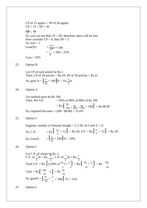$CP$  of 15 apples =  $SP$  of 20 apples  $CP \times 15 = SP \times 20$  $\frac{CP}{SP} = \frac{4}{3}$ So, you can see that  $CP > SP$ , therefore, there will be loss. Now consider  $CP = 4$ , then  $SP = 3$ So,  $loss = 1$  $Loss(\% )$ l  $\frac{1}{CP} \times 100$  $Loss = 25%$  $=\frac{1}{1} \times 100 = 25\%$ 4

- 
- 23. Option B

So, gain % =  $\left[\frac{3}{18} \times 100\right]$ Let CP of each article be Rs.1 Then, CP of 18 articles =  $Rs.18$ , SP of 18 articles =  $Rs.21$  $\frac{3}{18} \times 100$  % = 16  $\frac{2}{3}$ % 3

24. Option A

 $=$  Rs.  $\left[\begin{array}{l} 95 \\ 100 \times 90 \\ 100 \times 100 \end{array}\right] \times 100$  = Rs. 68.40 Let marked price be Rs.100 Then, Net S.P.  $= 95\%$  of 90% of 80% of Rs.100 So, required discount =  $(100 - 68.40) = 31.6%$ 

25. Option C

So, C.P.  $=$  Rs.  $\left[\frac{10}{6} \times 12\right] =$  Rs. 20; S.P. = Rs.  $\left[\frac{6}{4} \times 12\right] =$  Rs. 18 So, Loss%  $=$   $\frac{3}{20}$ Suppose, number of bananas bought = L.C.M. of 6 and  $4 = 12$  $\frac{3}{20} \times 100$ ]% = 10%

26. Option C

Let C.P., of whole be Rs. x  
\nC.P. of 
$$
\frac{3}{4}
$$
th = Rs.  $\frac{3x}{4}$ , C.P. of  $\frac{1}{4}$ th = Rs.  $\frac{x}{4}$   
\nTotal S.P. = Rs.  $\left[ (120\% \text{ of } \frac{3x}{4}) + \frac{x}{4} \right] = \text{Rs.} \left[ \frac{9x}{10} + \frac{x}{4} \right] = \text{Rs.} \frac{23x}{20}$   
\nGain = Rs.  $\left[ \frac{23x}{20} - x \right] = \text{Rs.} \frac{3x}{20}$   
\nSo, gain% =  $\left[ \frac{3x}{20} \times \frac{1}{x} \times 100 \right]$  % = 15%

27. Option C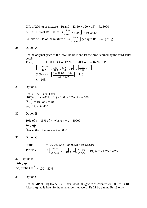S.P. = 116% of Rs.3000 = Rs.  $\left[\frac{116}{100} \times 3000\right]$  = Rs.3480 So, rate of S.P. of the mixture = Rs.  $\left[\frac{3480}{200}\right]$  per kg = Rs.17.40 per kg C.P. of 200 kg of mixture =  $Rs.(80 \times 13.50 + 120 \times 16) = Rs.3000$ 200

#### 28. Option A

Let the original price of the jewel be Rs.P and let the profit earned by the third seller be x%

Then,  
\n
$$
(100 + x)\% \text{ of } 125\% \text{ of } 120\% \text{ of } P = 165\% \text{ of } P
$$
\n
$$
\left[\begin{array}{cc}\n(100 + x) & 125 \\
100 & \times \frac{120}{100} \times P\end{array}\right] = \left[\begin{array}{cc}\n165 \times P\end{array}\right]
$$
\n
$$
(100 + x) = \left[\begin{array}{cc}\n165 \times 100 \times 100 \\
125 \times 120\n\end{array}\right] = 110
$$
\n
$$
x = 10\%
$$

29. Option D

Let C.P. be Rs. x. Then, (105% of x) - (80% of x) = 100 or 25% of  $x = 100$  $\text{So, } \frac{x}{4} = 100 \text{ or } x = 400$ So,  $C.P. = Rs.400$ 

30. Option B

10% of  $x = 15%$  of y, where  $x + y = 30000$  $\frac{x}{v} = \frac{3k}{2k}$  $y = 2k$ Hence, the difference  $= k = 6000$ 

31. Option C

Profit = Rs.(2602.58 - 2090.42) = Rs.512.16  
\nProfit% = 
$$
\left[\frac{512.16}{2090.42} \times 100\right] \%
$$
 =  $\left[\frac{512160}{209042} \times 10\right] \%$  = 24.5% = 25%

## 32. Option B

 $\frac{CP}{SP} = \frac{2}{3}$ So, profit%  $=\frac{1}{2}$  $\frac{1}{2} \times 100 = 50\%$ 

33. Option C

Let the MP of 1 kg tea be Rs.1, then CP of 20 kg with discount =  $20 \times 0.9 =$  Rs.18 Also 1 kg tea is free. So the retailer gets tea worth Rs.21 by paying Rs.18 only.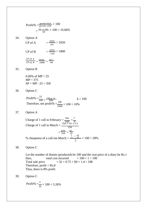Profit% = 
$$
\frac{q \text{ and } \text{left}}{\text{ good } \text{s} \text{ odd}} \times 100
$$
  
\n=  $\frac{21 - 18}{18} \times 100 = 16.66\%$   
\n34. Option A  
\nCP of A =  $\frac{1818}{0.9} = 2020$   
\nCP of B =  $\frac{1818}{1.01} = 1800$   
\n $\frac{CP \text{ of } A}{CP \text{ of } B} = \frac{2020}{1800} = \frac{101}{90}$   
\n35. Option B  
\n6.66% of MP = 25  
\nMP = 375  
\nSP = MP - 25 = 350  
\n36. Option C  
\nProfit% =  $\frac{25}{100} = \frac{120 + k}{880}$   
\nTherefore, net profit% =  $\frac{100}{1000} \times 100 = 10\%$   
\n37. Option A  
\nChange of 1 call in February =  $\frac{350}{150} = \frac{7}{34}$   
\nChange of 1 call in March =  $\frac{350}{250} = \frac{42}{25}$   
\n=  $\frac{420}{250} = \frac{42}{25}$   
\n% cheapest of a call in March =  $\frac{3}{25} = \frac{42}{25}$   
\n=  $\frac{420}{250} = \frac{42}{25}$   
\n=  $\frac{420}{250} = \frac{42}{25}$   
\n=  $\frac{420}{250} = \frac{42}{25}$   
\n=  $\frac{420}{250} = \frac{42}{25}$   
\n=  $\frac{420}{250} = \frac{42}{25}$   
\n=  $\frac{420}{250} = \frac{42}{25}$   
\n=  $\frac{420}{250} = \frac{42}{25}$   
\n=  $\frac{420}{250} = \frac{42}{25}$   
\n=  $\frac{420}{250} = \frac{42}{25}$   
\n=  $\frac{420}{250} = \frac{42}{25}$   
\n=  $\frac{42$ 

100 and the cost price of a diary be Rs.1 then, total cost incurred  $= 100 \times 1 = 100$ <br>Total sale price  $= 32 \times 0.75 + 60 \times 1.4 = 108$  $= 32 \times 0.75 + 60 \times 1.4 = 108$ Therefore,  $profit = Rs.8$ Thus, there is 8% profit

 $k = 100$ 

 $\frac{42}{25}$ 

 $- \times 100 = 28\%$ 

39. Option C

Profit% = 
$$
\frac{5}{95} \times 100 = 5.26\%
$$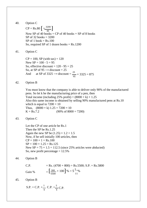40. Option C

 $CP = Rs.80 \left[ \frac{3200}{40} \right]$ Now SP of 40 books  $=$  CP of 40 books  $+$  SP of 8 books SP of 32 books  $=$  3200  $SP of 1 book = Rs.100$ So, required SP of 1 dozen books  $=$  Rs.1200

41. Option C

 $CP = 100$ , SP (with tax) = 120 New  $SP = 100 - 5 = 95$ So, effective discount =  $120 - 95 = 25$ So, at SP of 95  $\rightarrow$  discount = 25 And at SP of 3325  $\rightarrow$  discount =  $\frac{25}{95} \times 3325 = 875$ 

42. Option B

You must know that the company is able to deliver only 90% of the manufactured pens. So let k be the manufacturing price of a pen, then Total income (including 25% profit) =  $(8000 \times k) \times 1.25$ Also this same income is obtained by selling 90% manufactured pens at Rs.10 which is equal to  $7200 \times 10$ Thus,  $(8000 \times k)$  1.25 = 7200  $\times$  10  $K = Rs.7.2$  (90% of 8000 = 7200)

43. Option C

Let the CP of one article be Rs.1 Then the SP be Rs.1.25 Again the new SP be  $(1.25) \times 1.2 = 1.5$ Now, if he sell initially 100 articles, then  $CP = 100 \times 1 = Rs, 100$  $SP = 100 \times 1.25 = Rs.125$ New  $SP = 75 \times 1.5 = 112.5$  (since 25% articles were abducted) So, new profit percentage  $= 12.5\%$ 

44. Option B

 $\left[\frac{300}{5500} \times 100\right]$ C.P.  $=$  Rs. (4700 + 800) = Rs.5500; S.P. = Rs.5800 Gain % 5500  $\times 100$   $\% = 5\frac{5}{100}$ 11

45. Option B

$$
S.P. = C.P. + \frac{1}{4} C.P. = \frac{5}{4} C.P.
$$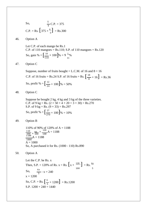So,  
\n
$$
\frac{5}{4}
$$
C.P. = 375  
\nC.P. = Rs.  $\left[375 \times \frac{4}{5}\right]$  = Rs.300

46. Option A

So, gain % =  $\left[\frac{10}{110} \times 100\right]$ Let C.P. of each mango be Rs.1 C.P. of 110 mangoes =  $Rs.110$ ; S.P. of 110 mangoes =  $Rs.120$  $\frac{10}{110}$  × 100  $\frac{1}{96}$  = 9  $\frac{1}{11}$ % 11

47. Option C

C.P. of 16 fruits = Rs.24 S.P. of 16 fruits = Rs.  $\left[\frac{18}{8} \times 16\right]$  = Rs.36 So, profit %  $=$   $\left[\frac{12}{24}\right]$ Suppose, number of fruits bought = L.C.M. of 16 and  $8 = 16$  $\frac{12}{24} \times 100$ ]% = 50%

48. Option C

So, profit % =  $\frac{27}{276}$ Suppose he bought 2 kg, 4 kg and 3 kg of the three varieties. C.P. of 9 kg = Rs.  $(2 \times 50 + 4 \times 20 + 3 \times 30) =$  Rs.270 S.P. of 9 kg = Rs.  $(9 \times 33)$  = Rs. 297  $\frac{27}{270} \times 100$ ]% = 10%

49. Option B

110% of 90% of 120% of A = 1188  $\frac{110}{100} \times \frac{90}{100} \times \frac{120}{100} A = 1188$  $\frac{1188}{1000} A = 1188$  $A = 1000$ So, A purchased it for Rs. (1000 - 110) Rs.890

50. Option A

So, C.P. = Rs.  $\left[\frac{6}{5} \times 1200\right] = \text{Rs}.1200$ Let the C.P. be Rs. x Then, S.P. = 120% of Rs.  $x = Rs$ .  $\left[x \times \frac{120}{120}\right] = Rs$ . So,  $\frac{6x}{5} - x = 240$ 100 5  $x = 1200$ S.P.  $1200 + 240 = 1440$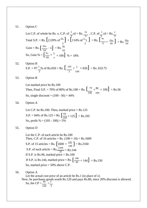51. Option C

Let C.P. of whole be Rs. x. C.P. of 
$$
\frac{2}{3}
$$
rd = Rs.  $\frac{2x}{3}$ , C.P. of  $\frac{1}{3}$ rd = Rs.  $\frac{x}{3}$   
Total S.P. = Rs.  $\left[ (120\% \text{ of } \frac{2x}{3} \right] + \left[ 114\% \text{ of } \frac{x}{3} \right] = \text{Rs.} \left[ \frac{4x}{5} + \frac{19x}{50} \right] = \text{Rs.} \frac{59x}{50}$   
Gain = Rs.  $\left[ \frac{59x}{50} - x \right] = \text{Rs.} \frac{9x}{50}$   
So, Gain  $\% = \left[ \frac{9x}{50} \times \frac{1}{x} \times 100 \right] \% = 18\%$ 

- 52. Option B S.P. = 97 $\frac{1}{2}$ % of Rs.650 = Rs.  $\left[\frac{195}{2} \times \frac{1}{2} \times 650\right]$  = Rs. 633.75 2 2 100
- 53. Option B

Let marked price be Rs.100 Then, Final S.P. = 70% of 80% of Rs.100 = Rs.  $\left[\frac{70}{5} \times \frac{80}{100}\right]$  = Rs.56 So, single discount =  $(100 - 56) = 44\%$ 100 100

54. Option A

S.P. = 84% of Rs.125 = Rs.  $\left[\frac{84}{100} \times 125\right]$  = Rs.105 Let C.P. be Rs.100. Then, marked price  $=$  Rs.125 So, profit % =  $(105 - 100) = 5%$ 

55. Option D

S.P. of 15 articles = Rs.  $\left[1600 \times \frac{135}{100}\right]$  = Rs.2160 If S.P. is Rs.144, marked price = Rs.  $\left[\frac{100}{96} \times 144\right]$  = Rs.150 Let the C.P. of each article be Rs.100 Then, C.P. of 16 articles = Rs.  $(100 \times 16)$  = Rs.1600 S.P. of each article = Rs.  $\frac{2160}{15}$  = Rs. 144 If S.P. is Rs.96, marked price  $=$  Rs.100 So, marked price = 50% above C.P.

56. Option A

Let the actual cost price of an article be Rs.1 (in place of x) Now, he purchases goods worth Rs.120 and pays Rs.80, since 20% discount is allowed. So, the CP =  $\frac{80}{5}$  =  $\frac{2}{5}$ 120 3